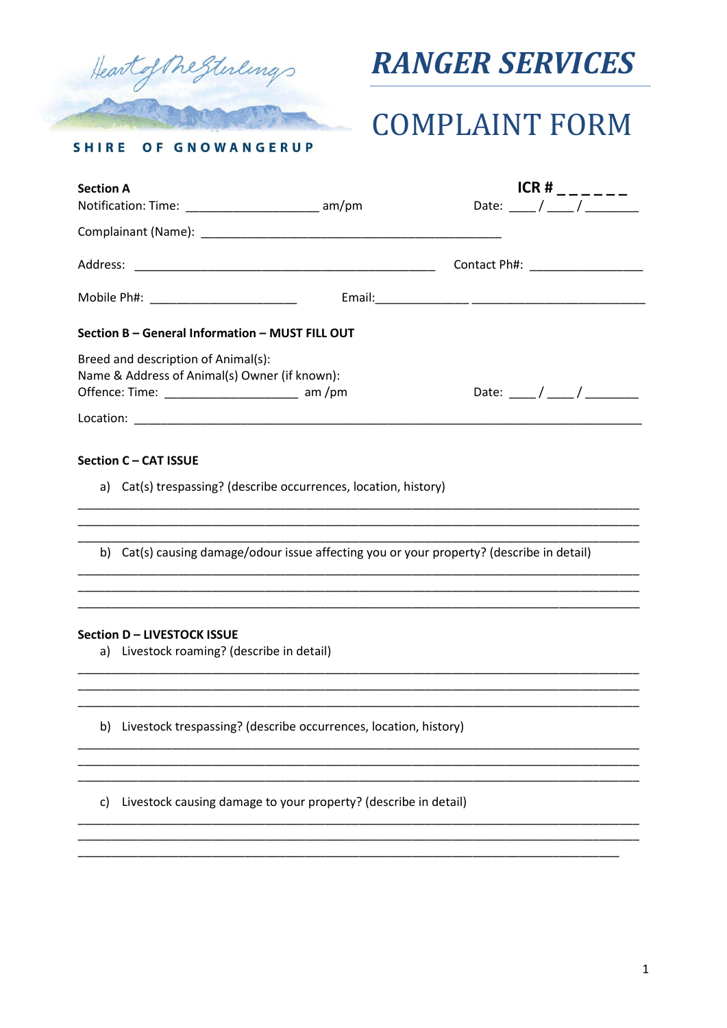

## **RANGER SERVICES**

# **COMPLAINT FORM**

OF GNOWANGERUP **SHIRE** 

| <b>Section A</b><br>Notification: Time: __________________________ am/pm             | ICR#<br>Date: $/$ $/$            |
|--------------------------------------------------------------------------------------|----------------------------------|
|                                                                                      |                                  |
|                                                                                      | Contact Ph#: ___________________ |
|                                                                                      |                                  |
| Section B - General Information - MUST FILL OUT                                      |                                  |
| Breed and description of Animal(s):<br>Name & Address of Animal(s) Owner (if known): |                                  |
|                                                                                      |                                  |

### Section C - CAT ISSUE

a) Cat(s) trespassing? (describe occurrences, location, history)

b) Cat(s) causing damage/odour issue affecting you or your property? (describe in detail)

#### Section D - LIVESTOCK ISSUE

a) Livestock roaming? (describe in detail)

b) Livestock trespassing? (describe occurrences, location, history)

c) Livestock causing damage to your property? (describe in detail)